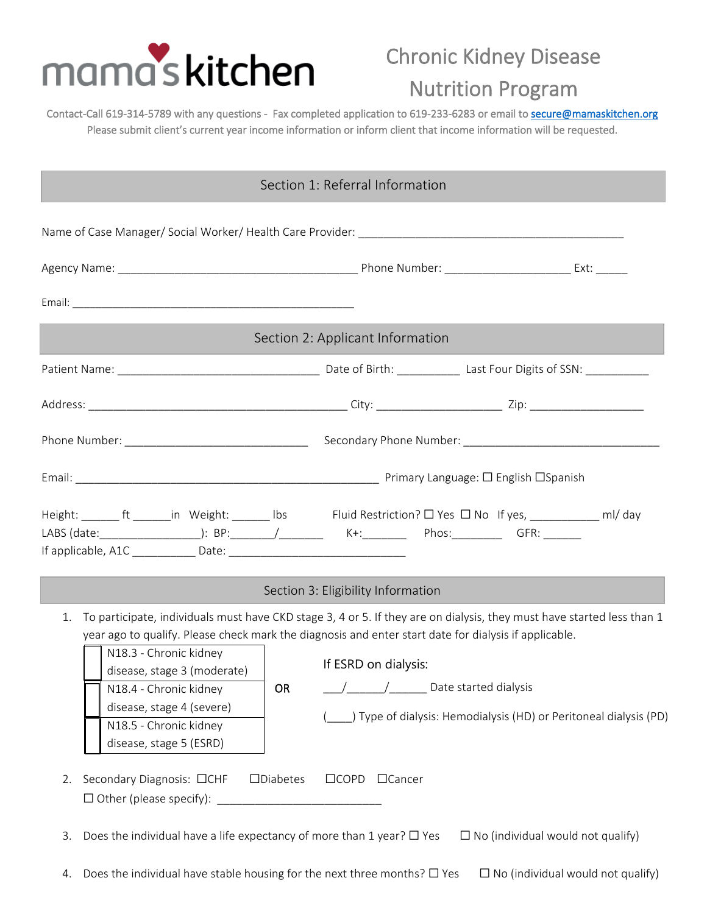

## Chronic Kidney Disease

## Nutrition Program

Contact-Call 619-314-5789 with any questions - Fax completed application to 619-233-6283 or email to [secure@mamaskitchen.org](mailto:secure@mamaskitchen.org)  Please submit client's current year income information or inform client that income information will be requested.

|                                                                                                                                                                                      | Section 1: Referral Information                                                                                                                                                                                                                                                                                                                                   |
|--------------------------------------------------------------------------------------------------------------------------------------------------------------------------------------|-------------------------------------------------------------------------------------------------------------------------------------------------------------------------------------------------------------------------------------------------------------------------------------------------------------------------------------------------------------------|
|                                                                                                                                                                                      |                                                                                                                                                                                                                                                                                                                                                                   |
|                                                                                                                                                                                      |                                                                                                                                                                                                                                                                                                                                                                   |
|                                                                                                                                                                                      |                                                                                                                                                                                                                                                                                                                                                                   |
|                                                                                                                                                                                      | Section 2: Applicant Information                                                                                                                                                                                                                                                                                                                                  |
|                                                                                                                                                                                      |                                                                                                                                                                                                                                                                                                                                                                   |
|                                                                                                                                                                                      |                                                                                                                                                                                                                                                                                                                                                                   |
|                                                                                                                                                                                      |                                                                                                                                                                                                                                                                                                                                                                   |
|                                                                                                                                                                                      |                                                                                                                                                                                                                                                                                                                                                                   |
|                                                                                                                                                                                      | Height: _______ ft _______in Weight: _______ Ibs Fluid Restriction? □ Yes □ No If yes, _____________ ml/ day                                                                                                                                                                                                                                                      |
|                                                                                                                                                                                      | Section 3: Eligibility Information                                                                                                                                                                                                                                                                                                                                |
| 1.<br>N18.3 - Chronic kidney<br>disease, stage 3 (moderate)<br>N18.4 - Chronic kidney<br><b>OR</b><br>disease, stage 4 (severe)<br>N18.5 - Chronic kidney<br>disease, stage 5 (ESRD) | To participate, individuals must have CKD stage 3, 4 or 5. If they are on dialysis, they must have started less than 1<br>year ago to qualify. Please check mark the diagnosis and enter start date for dialysis if applicable.<br>If ESRD on dialysis:<br>$\frac{1}{2}$ Date started dialysis<br>Type of dialysis: Hemodialysis (HD) or Peritoneal dialysis (PD) |
| Secondary Diagnosis: □CHF<br>$\square$ Diabetes<br>2.                                                                                                                                | □COPD □Cancer                                                                                                                                                                                                                                                                                                                                                     |
| Does the individual have a life expectancy of more than 1 year? $\Box$ Yes<br>3.                                                                                                     | $\Box$ No (individual would not qualify)                                                                                                                                                                                                                                                                                                                          |
| Does the individual have stable housing for the next three months? $\Box$ Yes                                                                                                        | $\Box$ No (individual would not qualify)                                                                                                                                                                                                                                                                                                                          |